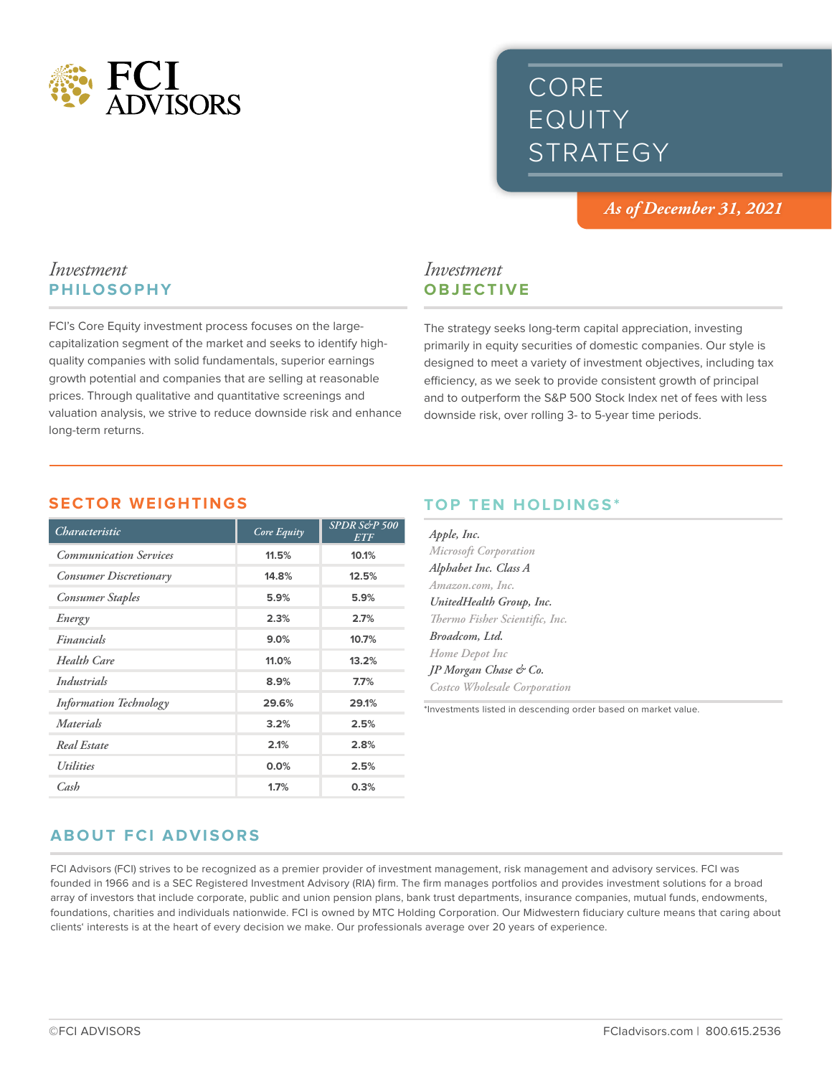

# CORE EQUITY STRATEGY

*As of December 31, 2021*

## *Investment* **PHILOSOPHY**

FCI's Core Equity investment process focuses on the largecapitalization segment of the market and seeks to identify highquality companies with solid fundamentals, superior earnings growth potential and companies that are selling at reasonable prices. Through qualitative and quantitative screenings and valuation analysis, we strive to reduce downside risk and enhance long-term returns.

# *Investment* **OBJECTIVE**

The strategy seeks long-term capital appreciation, investing primarily in equity securities of domestic companies. Our style is designed to meet a variety of investment objectives, including tax efficiency, as we seek to provide consistent growth of principal and to outperform the S&P 500 Stock Index net of fees with less downside risk, over rolling 3- to 5-year time periods.

#### **SECTOR WEIGHTINGS**

| Characteristic                 | Core Equity | SPDR S&P 500<br><b>ETF</b> |
|--------------------------------|-------------|----------------------------|
| <b>Communication Services</b>  | 11.5%       | 10.1%                      |
| <b>Consumer Discretionary</b>  | 14.8%       | 12.5%                      |
| <b>Consumer Staples</b>        | 5.9%        | 5.9%                       |
| Energy                         | 2.3%        | 2.7%                       |
| Financials                     | 9.0%        | 10.7%                      |
| <b>Health Care</b>             | 11.0%       | 13.2%                      |
| Industrials                    | 8.9%        | 7.7%                       |
| <b>Information Technology</b>  | 29.6%       | 29.1%                      |
| Materials                      | 3.2%        | 2.5%                       |
| Real Estate                    | 2.1%        | 2.8%                       |
| <i><u><b>Utilities</b></u></i> | 0.0%        | 2.5%                       |
| Cash                           | 1.7%        | 0.3%                       |

# **TOP TEN HOLDINGS\***

| Apple, Inc.                    |
|--------------------------------|
| <b>Microsoft Corporation</b>   |
| Alphabet Inc. Class A          |
| Amazon.com, Inc.               |
| UnitedHealth Group, Inc.       |
| Thermo Fisher Scientific, Inc. |
| Broadcom, Ltd.                 |
| Home Depot Inc                 |
| <b>IP</b> Morgan Chase & Co.   |
| Costco Wholesale Corporation   |

\*Investments listed in descending order based on market value.

# **ABOUT FCI ADVISORS**

FCI Advisors (FCI) strives to be recognized as a premier provider of investment management, risk management and advisory services. FCI was founded in 1966 and is a SEC Registered Investment Advisory (RIA) firm. The firm manages portfolios and provides investment solutions for a broad array of investors that include corporate, public and union pension plans, bank trust departments, insurance companies, mutual funds, endowments, foundations, charities and individuals nationwide. FCI is owned by MTC Holding Corporation. Our Midwestern fiduciary culture means that caring about clients' interests is at the heart of every decision we make. Our professionals average over 20 years of experience.